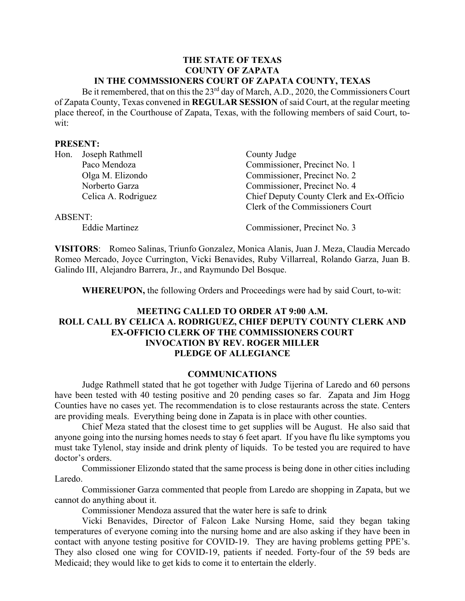#### **THE STATE OF TEXAS COUNTY OF ZAPATA IN THE COMMSSIONERS COURT OF ZAPATA COUNTY, TEXAS**

Be it remembered, that on this the 23<sup>rd</sup> day of March, A.D., 2020, the Commissioners Court of Zapata County, Texas convened in **REGULAR SESSION** of said Court, at the regular meeting place thereof, in the Courthouse of Zapata, Texas, with the following members of said Court, towit:

#### **PRESENT:**

| Hon.           | Joseph Rathmell     | County Judge                             |
|----------------|---------------------|------------------------------------------|
|                | Paco Mendoza        | Commissioner, Precinct No. 1             |
|                | Olga M. Elizondo    | Commissioner, Precinct No. 2             |
|                | Norberto Garza      | Commissioner, Precinct No. 4             |
|                | Celica A. Rodriguez | Chief Deputy County Clerk and Ex-Officio |
|                |                     | Clerk of the Commissioners Court         |
| <b>ABSENT:</b> |                     |                                          |
|                | Eddie Martinez      | Commissioner, Precinct No. 3             |

**VISITORS**: Romeo Salinas, Triunfo Gonzalez, Monica Alanis, Juan J. Meza, Claudia Mercado Romeo Mercado, Joyce Currington, Vicki Benavides, Ruby Villarreal, Rolando Garza, Juan B. Galindo III, Alejandro Barrera, Jr., and Raymundo Del Bosque.

**WHEREUPON,** the following Orders and Proceedings were had by said Court, to-wit:

# **MEETING CALLED TO ORDER AT 9:00 A.M. ROLL CALL BY CELICA A. RODRIGUEZ, CHIEF DEPUTY COUNTY CLERK AND EX-OFFICIO CLERK OF THE COMMISSIONERS COURT INVOCATION BY REV. ROGER MILLER PLEDGE OF ALLEGIANCE**

#### **COMMUNICATIONS**

Judge Rathmell stated that he got together with Judge Tijerina of Laredo and 60 persons have been tested with 40 testing positive and 20 pending cases so far. Zapata and Jim Hogg Counties have no cases yet. The recommendation is to close restaurants across the state. Centers are providing meals. Everything being done in Zapata is in place with other counties.

Chief Meza stated that the closest time to get supplies will be August. He also said that anyone going into the nursing homes needs to stay 6 feet apart. If you have flu like symptoms you must take Tylenol, stay inside and drink plenty of liquids. To be tested you are required to have doctor's orders.

Commissioner Elizondo stated that the same process is being done in other cities including Laredo.

Commissioner Garza commented that people from Laredo are shopping in Zapata, but we cannot do anything about it.

Commissioner Mendoza assured that the water here is safe to drink

Vicki Benavides, Director of Falcon Lake Nursing Home, said they began taking temperatures of everyone coming into the nursing home and are also asking if they have been in contact with anyone testing positive for COVID-19. They are having problems getting PPE's. They also closed one wing for COVID-19, patients if needed. Forty-four of the 59 beds are Medicaid; they would like to get kids to come it to entertain the elderly.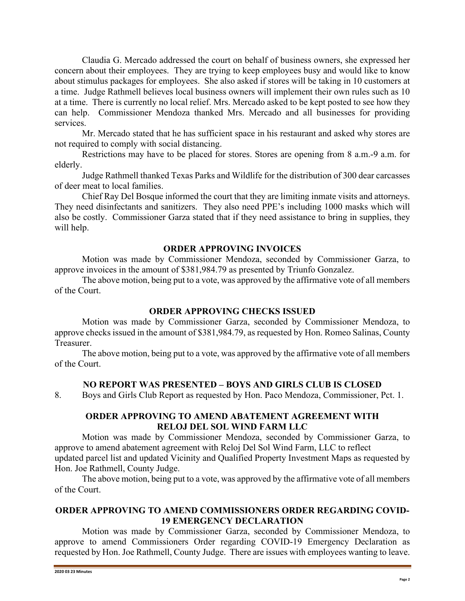Claudia G. Mercado addressed the court on behalf of business owners, she expressed her concern about their employees. They are trying to keep employees busy and would like to know about stimulus packages for employees. She also asked if stores will be taking in 10 customers at a time. Judge Rathmell believes local business owners will implement their own rules such as 10 at a time. There is currently no local relief. Mrs. Mercado asked to be kept posted to see how they can help. Commissioner Mendoza thanked Mrs. Mercado and all businesses for providing services.

Mr. Mercado stated that he has sufficient space in his restaurant and asked why stores are not required to comply with social distancing.

Restrictions may have to be placed for stores. Stores are opening from 8 a.m.-9 a.m. for elderly.

Judge Rathmell thanked Texas Parks and Wildlife for the distribution of 300 dear carcasses of deer meat to local families.

Chief Ray Del Bosque informed the court that they are limiting inmate visits and attorneys. They need disinfectants and sanitizers. They also need PPE's including 1000 masks which will also be costly. Commissioner Garza stated that if they need assistance to bring in supplies, they will help.

#### **ORDER APPROVING INVOICES**

Motion was made by Commissioner Mendoza, seconded by Commissioner Garza, to approve invoices in the amount of \$381,984.79 as presented by Triunfo Gonzalez.

The above motion, being put to a vote, was approved by the affirmative vote of all members of the Court.

#### **ORDER APPROVING CHECKS ISSUED**

Motion was made by Commissioner Garza, seconded by Commissioner Mendoza, to approve checks issued in the amount of \$381,984.79, as requested by Hon. Romeo Salinas, County Treasurer.

The above motion, being put to a vote, was approved by the affirmative vote of all members of the Court.

# **NO REPORT WAS PRESENTED – BOYS AND GIRLS CLUB IS CLOSED**

8. Boys and Girls Club Report as requested by Hon. Paco Mendoza, Commissioner, Pct. 1.

# **ORDER APPROVING TO AMEND ABATEMENT AGREEMENT WITH RELOJ DEL SOL WIND FARM LLC**

Motion was made by Commissioner Mendoza, seconded by Commissioner Garza, to approve to amend abatement agreement with Reloj Del Sol Wind Farm, LLC to reflect updated parcel list and updated Vicinity and Qualified Property Investment Maps as requested by Hon. Joe Rathmell, County Judge.

The above motion, being put to a vote, was approved by the affirmative vote of all members of the Court.

# **ORDER APPROVING TO AMEND COMMISSIONERS ORDER REGARDING COVID-19 EMERGENCY DECLARATION**

Motion was made by Commissioner Garza, seconded by Commissioner Mendoza, to approve to amend Commissioners Order regarding COVID-19 Emergency Declaration as requested by Hon. Joe Rathmell, County Judge. There are issues with employees wanting to leave.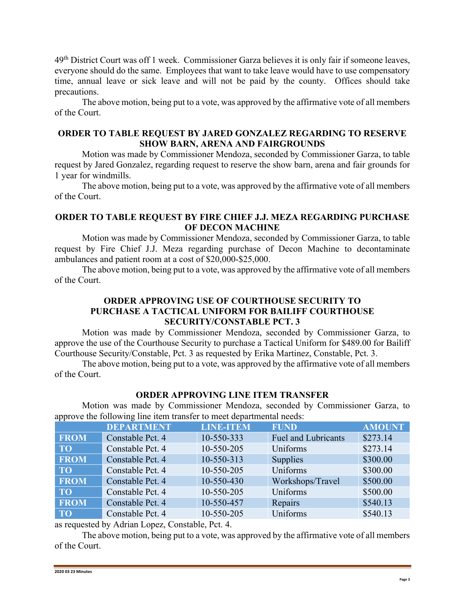49<sup>th</sup> District Court was off 1 week. Commissioner Garza believes it is only fair if someone leaves, everyone should do the same. Employees that want to take leave would have to use compensatory time, annual leave or sick leave and will not be paid by the county. Offices should take precautions.

The above motion, being put to a vote, was approved by the affirmative vote of all members of the Court.

# **ORDER TO TABLE REQUEST BY JARED GONZALEZ REGARDING TO RESERVE SHOW BARN, ARENA AND FAIRGROUNDS**

Motion was made by Commissioner Mendoza, seconded by Commissioner Garza, to table request by Jared Gonzalez, regarding request to reserve the show barn, arena and fair grounds for 1 year for windmills.

The above motion, being put to a vote, was approved by the affirmative vote of all members of the Court.

# **ORDER TO TABLE REQUEST BY FIRE CHIEF J.J. MEZA REGARDING PURCHASE OF DECON MACHINE**

Motion was made by Commissioner Mendoza, seconded by Commissioner Garza, to table request by Fire Chief J.J. Meza regarding purchase of Decon Machine to decontaminate ambulances and patient room at a cost of \$20,000-\$25,000.

The above motion, being put to a vote, was approved by the affirmative vote of all members of the Court.

# **ORDER APPROVING USE OF COURTHOUSE SECURITY TO PURCHASE A TACTICAL UNIFORM FOR BAILIFF COURTHOUSE SECURITY/CONSTABLE PCT. 3**

Motion was made by Commissioner Mendoza, seconded by Commissioner Garza, to approve the use of the Courthouse Security to purchase a Tactical Uniform for \$489.00 for Bailiff Courthouse Security/Constable, Pct. 3 as requested by Erika Martinez, Constable, Pct. 3.

The above motion, being put to a vote, was approved by the affirmative vote of all members of the Court.

# **ORDER APPROVING LINE ITEM TRANSFER**

Motion was made by Commissioner Mendoza, seconded by Commissioner Garza, to approve the following line item transfer to meet departmental needs:

|             | <b>DEPARTMENT</b> | <b>LINE-ITEM</b> | <b>FUND</b>                | <b>AMOUNT</b> |
|-------------|-------------------|------------------|----------------------------|---------------|
| <b>FROM</b> | Constable Pct. 4  | 10-550-333       | <b>Fuel and Lubricants</b> | \$273.14      |
| <b>TO</b>   | Constable Pct. 4  | 10-550-205       | Uniforms                   | \$273.14      |
| <b>FROM</b> | Constable Pct. 4  | 10-550-313       | Supplies                   | \$300.00      |
| <b>TO</b>   | Constable Pct. 4  | 10-550-205       | Uniforms                   | \$300.00      |
| <b>FROM</b> | Constable Pct. 4  | 10-550-430       | Workshops/Travel           | \$500.00      |
| <b>TO</b>   | Constable Pct. 4  | 10-550-205       | Uniforms                   | \$500.00      |
| <b>FROM</b> | Constable Pct. 4  | 10-550-457       | Repairs                    | \$540.13      |
| <b>TO</b>   | Constable Pct. 4  | 10-550-205       | Uniforms                   | \$540.13      |

as requested by Adrian Lopez, Constable, Pct. 4.

The above motion, being put to a vote, was approved by the affirmative vote of all members of the Court.